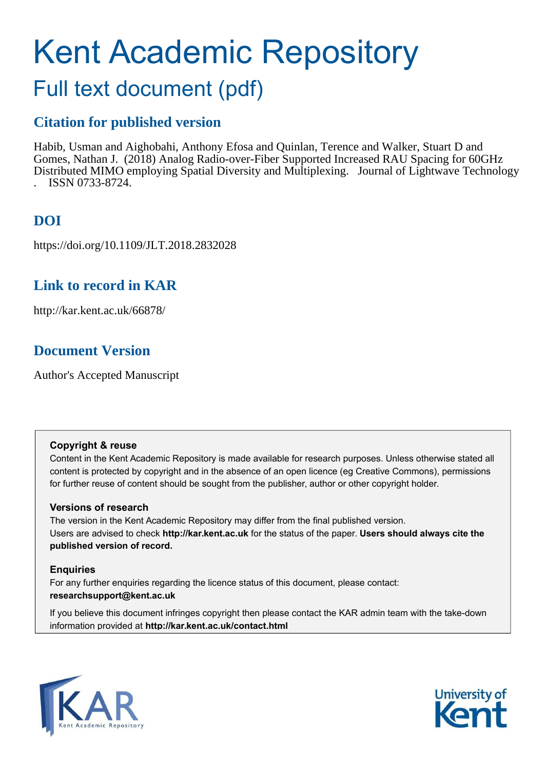# Kent Academic Repository

# Full text document (pdf)

### **Citation for published version**

Habib, Usman and Aighobahi, Anthony Efosa and Quinlan, Terence and Walker, Stuart D and Gomes, Nathan J. (2018) Analog Radio-over-Fiber Supported Increased RAU Spacing for 60GHz Distributed MIMO employing Spatial Diversity and Multiplexing. Journal of Lightwave Technology . ISSN 0733-8724.

# **DOI**

https://doi.org/10.1109/JLT.2018.2832028

## **Link to record in KAR**

http://kar.kent.ac.uk/66878/

## **Document Version**

Author's Accepted Manuscript

### **Copyright & reuse**

Content in the Kent Academic Repository is made available for research purposes. Unless otherwise stated all content is protected by copyright and in the absence of an open licence (eg Creative Commons), permissions for further reuse of content should be sought from the publisher, author or other copyright holder.

### **Versions of research**

The version in the Kent Academic Repository may differ from the final published version. Users are advised to check **http://kar.kent.ac.uk** for the status of the paper. **Users should always cite the published version of record.**

### **Enquiries**

For any further enquiries regarding the licence status of this document, please contact: **researchsupport@kent.ac.uk**

If you believe this document infringes copyright then please contact the KAR admin team with the take-down information provided at **http://kar.kent.ac.uk/contact.html**



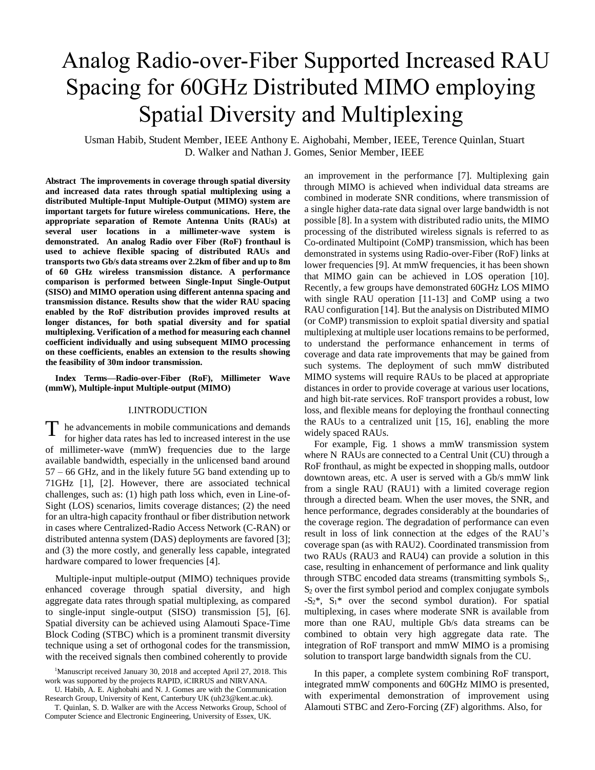# Analog Radio-over-Fiber Supported Increased RAU Spacing for 60GHz Distributed MIMO employing Spatial Diversity and Multiplexing

Usman Habib, Student Member, IEEE Anthony E. Aighobahi, Member, IEEE, Terence Quinlan, Stuart D. Walker and Nathan J. Gomes, Senior Member, IEEE

**Abstract The improvements in coverage through spatial diversity and increased data rates through spatial multiplexing using a distributed Multiple-Input Multiple-Output (MIMO) system are important targets for future wireless communications. Here, the appropriate separation of Remote Antenna Units (RAUs) at several user locations in a millimeter-wave system is demonstrated. An analog Radio over Fiber (RoF) fronthaul is used to achieve flexible spacing of distributed RAUs and transports two Gb/s data streams over 2.2km of fiber and up to 8m of 60 GHz wireless transmission distance. A performance comparison is performed between Single-Input Single-Output (SISO) and MIMO operation using different antenna spacing and transmission distance. Results show that the wider RAU spacing enabled by the RoF distribution provides improved results at longer distances, for both spatial diversity and for spatial multiplexing. Verification of a method for measuring each channel coefficient individually and using subsequent MIMO processing on these coefficients, enables an extension to the results showing the feasibility of 30m indoor transmission.** 

**Index Terms—Radio-over-Fiber (RoF), Millimeter Wave (mmW), Multiple-input Multiple-output (MIMO)** 

### I.INTRODUCTION

 $\Gamma$  he advancements in mobile communications and demands for higher data rates has led to increased interest in the use for higher data rates has led to increased interest in the use of millimeter-wave (mmW) frequencies due to the large available bandwidth, especially in the unlicensed band around 57 – 66 GHz, and in the likely future 5G band extending up to 71GHz [1], [2]. However, there are associated technical challenges, such as: (1) high path loss which, even in Line-of-Sight (LOS) scenarios, limits coverage distances; (2) the need for an ultra-high capacity fronthaul or fiber distribution network in cases where Centralized-Radio Access Network (C-RAN) or distributed antenna system (DAS) deployments are favored [3]; and (3) the more costly, and generally less capable, integrated hardware compared to lower frequencies [4].

Multiple-input multiple-output (MIMO) techniques provide enhanced coverage through spatial diversity, and high aggregate data rates through spatial multiplexing, as compared to single-input single-output (SISO) transmission [5], [6]. Spatial diversity can be achieved using Alamouti Space-Time Block Coding (STBC) which is a prominent transmit diversity technique using a set of orthogonal codes for the transmission, with the received signals then combined coherently to provide

U. Habib, A. E. Aighobahi and N. J. Gomes are with the Communication Research Group, University of Kent, Canterbury UK (uh23@kent.ac.uk).

an improvement in the performance [7]. Multiplexing gain through MIMO is achieved when individual data streams are combined in moderate SNR conditions, where transmission of a single higher data-rate data signal over large bandwidth is not possible [8]. In a system with distributed radio units, the MIMO processing of the distributed wireless signals is referred to as Co-ordinated Multipoint (CoMP) transmission, which has been demonstrated in systems using Radio-over-Fiber (RoF) links at lower frequencies [9]. At mmW frequencies, it has been shown that MIMO gain can be achieved in LOS operation [10]. Recently, a few groups have demonstrated 60GHz LOS MIMO with single RAU operation [11-13] and CoMP using a two RAU configuration [14]. But the analysis on Distributed MIMO (or CoMP) transmission to exploit spatial diversity and spatial multiplexing at multiple user locations remains to be performed, to understand the performance enhancement in terms of coverage and data rate improvements that may be gained from such systems. The deployment of such mmW distributed MIMO systems will require RAUs to be placed at appropriate distances in order to provide coverage at various user locations, and high bit-rate services. RoF transport provides a robust, low loss, and flexible means for deploying the fronthaul connecting the RAUs to a centralized unit [15, 16], enabling the more widely spaced RAUs.

For example, Fig. 1 shows a mmW transmission system where N RAUs are connected to a Central Unit (CU) through a RoF fronthaul, as might be expected in shopping malls, outdoor downtown areas, etc. A user is served with a Gb/s mmW link from a single RAU (RAU1) with a limited coverage region through a directed beam. When the user moves, the SNR, and hence performance, degrades considerably at the boundaries of the coverage region. The degradation of performance can even result in loss of link connection at the edges of the RAU's coverage span (as with RAU2). Coordinated transmission from two RAUs (RAU3 and RAU4) can provide a solution in this case, resulting in enhancement of performance and link quality through STBC encoded data streams (transmitting symbols  $S_1$ ,  $S<sub>2</sub>$  over the first symbol period and complex conjugate symbols  $-S_2^*$ ,  $S_1^*$  over the second symbol duration). For spatial multiplexing, in cases where moderate SNR is available from more than one RAU, multiple Gb/s data streams can be combined to obtain very high aggregate data rate. The integration of RoF transport and mmW MIMO is a promising solution to transport large bandwidth signals from the CU.

In this paper, a complete system combining RoF transport, integrated mmW components and 60GHz MIMO is presented, with experimental demonstration of improvement using Alamouti STBC and Zero-Forcing (ZF) algorithms. Also, for

<sup>&</sup>lt;sup>1</sup>Manuscript received January 30, 2018 and accepted April 27, 2018. This work was supported by the projects RAPID, iCIRRUS and NIRVANA.

T. Quinlan, S. D. Walker are with the Access Networks Group, School of Computer Science and Electronic Engineering, University of Essex, UK.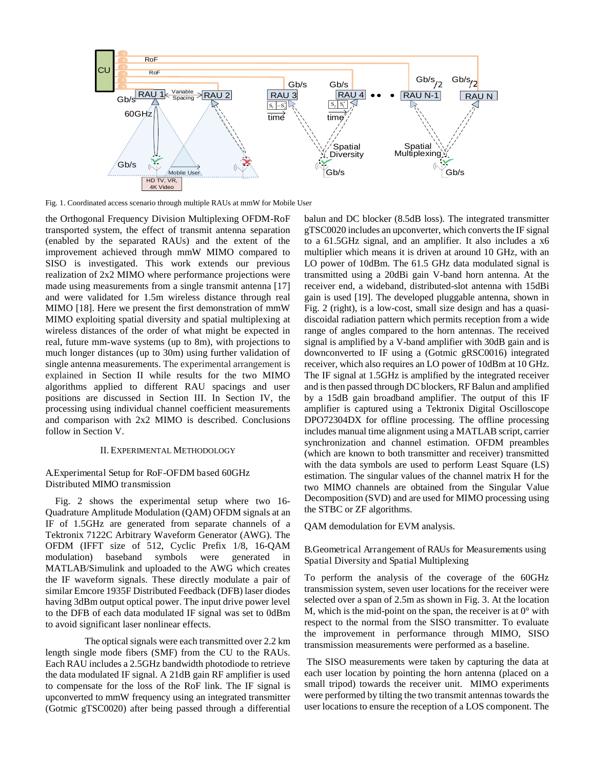

Fig. 1. Coordinated access scenario through multiple RAUs at mmW for Mobile User

the Orthogonal Frequency Division Multiplexing OFDM-RoF transported system, the effect of transmit antenna separation (enabled by the separated RAUs) and the extent of the improvement achieved through mmW MIMO compared to SISO is investigated. This work extends our previous realization of 2x2 MIMO where performance projections were made using measurements from a single transmit antenna [17] and were validated for 1.5m wireless distance through real MIMO [18]. Here we present the first demonstration of mmW MIMO exploiting spatial diversity and spatial multiplexing at wireless distances of the order of what might be expected in real, future mm-wave systems (up to 8m), with projections to much longer distances (up to 30m) using further validation of single antenna measurements. The experimental arrangement is explained in Section II while results for the two MIMO algorithms applied to different RAU spacings and user positions are discussed in Section III. In Section IV, the processing using individual channel coefficient measurements and comparison with 2x2 MIMO is described. Conclusions follow in Section V.

#### II. EXPERIMENTAL METHODOLOGY

### A.Experimental Setup for RoF-OFDM based 60GHz Distributed MIMO transmission

Fig. 2 shows the experimental setup where two 16- Quadrature Amplitude Modulation (QAM) OFDM signals at an IF of 1.5GHz are generated from separate channels of a Tektronix 7122C Arbitrary Waveform Generator (AWG). The OFDM (IFFT size of 512, Cyclic Prefix 1/8, 16-QAM modulation) baseband symbols were generated in MATLAB/Simulink and uploaded to the AWG which creates the IF waveform signals. These directly modulate a pair of similar Emcore 1935F Distributed Feedback (DFB) laser diodes having 3dBm output optical power. The input drive power level to the DFB of each data modulated IF signal was set to 0dBm to avoid significant laser nonlinear effects.

 The optical signals were each transmitted over 2.2 km length single mode fibers (SMF) from the CU to the RAUs. Each RAU includes a 2.5GHz bandwidth photodiode to retrieve the data modulated IF signal. A 21dB gain RF amplifier is used to compensate for the loss of the RoF link. The IF signal is upconverted to mmW frequency using an integrated transmitter (Gotmic gTSC0020) after being passed through a differential

balun and DC blocker (8.5dB loss). The integrated transmitter gTSC0020 includes an upconverter, which converts the IF signal to a 61.5GHz signal, and an amplifier. It also includes a x6 multiplier which means it is driven at around 10 GHz, with an LO power of 10dBm. The 61.5 GHz data modulated signal is transmitted using a 20dBi gain V-band horn antenna. At the receiver end, a wideband, distributed-slot antenna with 15dBi gain is used [19]. The developed pluggable antenna, shown in Fig. 2 (right), is a low-cost, small size design and has a quasidiscoidal radiation pattern which permits reception from a wide range of angles compared to the horn antennas. The received signal is amplified by a V-band amplifier with 30dB gain and is downconverted to IF using a (Gotmic gRSC0016) integrated receiver, which also requires an LO power of 10dBm at 10 GHz. The IF signal at 1.5GHz is amplified by the integrated receiver and is then passed through DC blockers, RF Balun and amplified by a 15dB gain broadband amplifier. The output of this IF amplifier is captured using a Tektronix Digital Oscilloscope DPO72304DX for offline processing. The offline processing includes manual time alignment using a MATLAB script, carrier synchronization and channel estimation. OFDM preambles (which are known to both transmitter and receiver) transmitted with the data symbols are used to perform Least Square (LS) estimation. The singular values of the channel matrix H for the two MIMO channels are obtained from the Singular Value Decomposition (SVD) and are used for MIMO processing using the STBC or ZF algorithms.

QAM demodulation for EVM analysis.

B.Geometrical Arrangement of RAUs for Measurements using Spatial Diversity and Spatial Multiplexing

To perform the analysis of the coverage of the 60GHz transmission system, seven user locations for the receiver were selected over a span of 2.5m as shown in Fig. 3. At the location M, which is the mid-point on the span, the receiver is at  $0^{\circ}$  with respect to the normal from the SISO transmitter. To evaluate the improvement in performance through MIMO, SISO transmission measurements were performed as a baseline.

 The SISO measurements were taken by capturing the data at each user location by pointing the horn antenna (placed on a small tripod) towards the receiver unit. MIMO experiments were performed by tilting the two transmit antennas towards the user locations to ensure the reception of a LOS component. The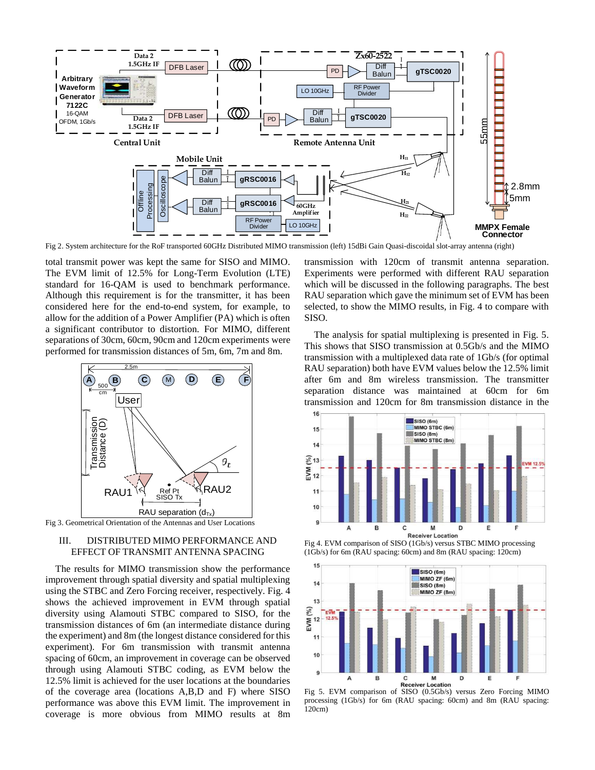

Fig 2. System architecture for the RoF transported 60GHz Distributed MIMO transmission (left) 15dBi Gain Quasi-discoidal slot-array antenna (right)

total transmit power was kept the same for SISO and MIMO. The EVM limit of 12.5% for Long-Term Evolution (LTE) standard for 16-QAM is used to benchmark performance. Although this requirement is for the transmitter, it has been considered here for the end-to-end system, for example, to allow for the addition of a Power Amplifier (PA) which is often a significant contributor to distortion. For MIMO, different separations of 30cm, 60cm, 90cm and 120cm experiments were performed for transmission distances of 5m, 6m, 7m and 8m.



Fig 3. Geometrical Orientation of the Antennas and User Locations

### III. DISTRIBUTED MIMO PERFORMANCE AND EFFECT OF TRANSMIT ANTENNA SPACING

The results for MIMO transmission show the performance improvement through spatial diversity and spatial multiplexing using the STBC and Zero Forcing receiver, respectively. Fig. 4 shows the achieved improvement in EVM through spatial diversity using Alamouti STBC compared to SISO, for the transmission distances of 6m (an intermediate distance during the experiment) and 8m (the longest distance considered for this experiment). For 6m transmission with transmit antenna spacing of 60cm, an improvement in coverage can be observed through using Alamouti STBC coding, as EVM below the 12.5% limit is achieved for the user locations at the boundaries of the coverage area (locations A,B,D and F) where SISO performance was above this EVM limit. The improvement in coverage is more obvious from MIMO results at 8m

transmission with 120cm of transmit antenna separation. Experiments were performed with different RAU separation which will be discussed in the following paragraphs. The best RAU separation which gave the minimum set of EVM has been selected, to show the MIMO results, in Fig. 4 to compare with SISO.

The analysis for spatial multiplexing is presented in Fig. 5. This shows that SISO transmission at 0.5Gb/s and the MIMO transmission with a multiplexed data rate of 1Gb/s (for optimal RAU separation) both have EVM values below the 12.5% limit after 6m and 8m wireless transmission. The transmitter separation distance was maintained at 60cm for 6m transmission and 120cm for 8m transmission distance in the



Fig 4. EVM comparison of SISO (1Gb/s) versus STBC MIMO processing (1Gb/s) for 6m (RAU spacing: 60cm) and 8m (RAU spacing: 120cm)



processing (1Gb/s) for 6m (RAU spacing: 60cm) and 8m (RAU spacing: 120cm)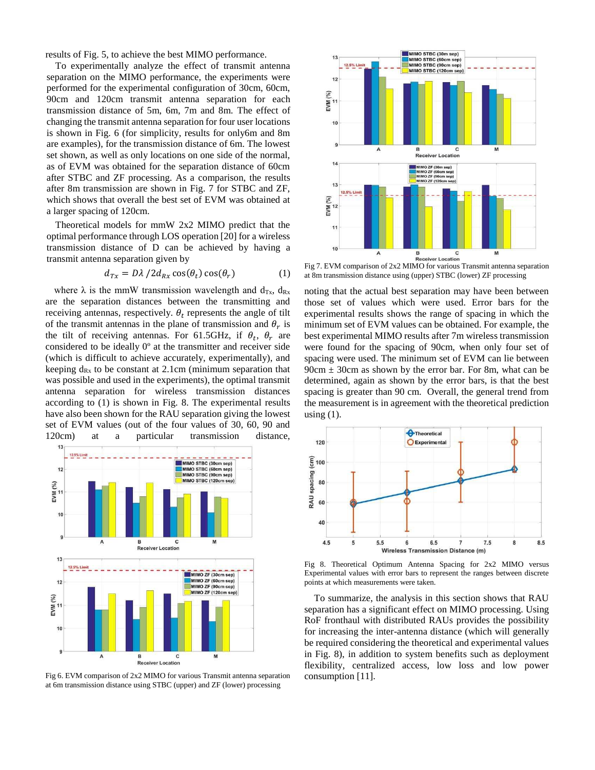results of Fig. 5, to achieve the best MIMO performance.

To experimentally analyze the effect of transmit antenna separation on the MIMO performance, the experiments were performed for the experimental configuration of 30cm, 60cm, 90cm and 120cm transmit antenna separation for each transmission distance of 5m, 6m, 7m and 8m. The effect of changing the transmit antenna separation for four user locations is shown in Fig. 6 (for simplicity, results for only6m and 8m are examples), for the transmission distance of 6m. The lowest set shown, as well as only locations on one side of the normal, as of EVM was obtained for the separation distance of 60cm after STBC and ZF processing. As a comparison, the results after 8m transmission are shown in Fig. 7 for STBC and ZF, which shows that overall the best set of EVM was obtained at a larger spacing of 120cm.

Theoretical models for mmW 2x2 MIMO predict that the optimal performance through LOS operation [20] for a wireless transmission distance of D can be achieved by having a transmit antenna separation given by

$$
d_{Tx} = D\lambda / 2d_{Rx}\cos(\theta_t)\cos(\theta_r) \tag{1}
$$

where  $\lambda$  is the mmW transmission wavelength and d<sub>Tx</sub>, d<sub>Rx</sub> are the separation distances between the transmitting and receiving antennas, respectively.  $\theta_t$  represents the angle of tilt of the transmit antennas in the plane of transmission and  $\theta_r$  is the tilt of receiving antennas. For 61.5GHz, if  $\theta_t$ ,  $\theta_r$  are considered to be ideally 0º at the transmitter and receiver side (which is difficult to achieve accurately, experimentally), and keeping  $d_{Rx}$  to be constant at 2.1cm (minimum separation that was possible and used in the experiments), the optimal transmit antenna separation for wireless transmission distances according to (1) is shown in Fig. 8. The experimental results have also been shown for the RAU separation giving the lowest set of EVM values (out of the four values of 30, 60, 90 and 120cm) at a particular transmission distance,



Fig 6. EVM comparison of 2x2 MIMO for various Transmit antenna separation at 6m transmission distance using STBC (upper) and ZF (lower) processing



Fig 7. EVM comparison of 2x2 MIMO for various Transmit antenna separation at 8m transmission distance using (upper) STBC (lower) ZF processing

noting that the actual best separation may have been between those set of values which were used. Error bars for the experimental results shows the range of spacing in which the minimum set of EVM values can be obtained. For example, the best experimental MIMO results after 7m wireless transmission were found for the spacing of 90cm, when only four set of spacing were used. The minimum set of EVM can lie between  $90cm \pm 30cm$  as shown by the error bar. For 8m, what can be determined, again as shown by the error bars, is that the best spacing is greater than 90 cm. Overall, the general trend from the measurement is in agreement with the theoretical prediction using  $(1)$ .



Fig 8. Theoretical Optimum Antenna Spacing for 2x2 MIMO versus Experimental values with error bars to represent the ranges between discrete points at which measurements were taken.

To summarize, the analysis in this section shows that RAU separation has a significant effect on MIMO processing. Using RoF fronthaul with distributed RAUs provides the possibility for increasing the inter-antenna distance (which will generally be required considering the theoretical and experimental values in Fig. 8), in addition to system benefits such as deployment flexibility, centralized access, low loss and low power consumption [11].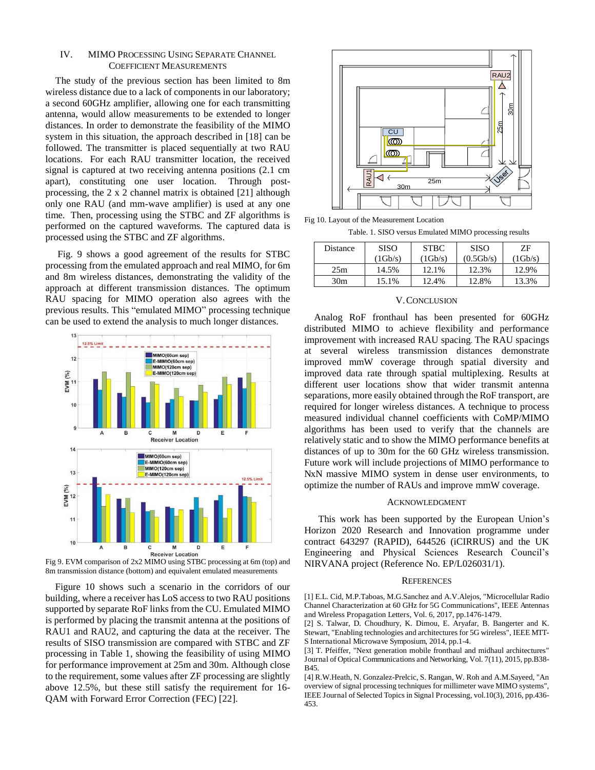### IV. MIMO PROCESSING USING SEPARATE CHANNEL COEFFICIENT MEASUREMENTS

The study of the previous section has been limited to 8m wireless distance due to a lack of components in our laboratory; a second 60GHz amplifier, allowing one for each transmitting antenna, would allow measurements to be extended to longer distances. In order to demonstrate the feasibility of the MIMO system in this situation, the approach described in [18] can be followed. The transmitter is placed sequentially at two RAU locations. For each RAU transmitter location, the received signal is captured at two receiving antenna positions (2.1 cm apart), constituting one user location. Through postprocessing, the 2 x 2 channel matrix is obtained [21] although only one RAU (and mm-wave amplifier) is used at any one time. Then, processing using the STBC and ZF algorithms is performed on the captured waveforms. The captured data is processed using the STBC and ZF algorithms.

 Fig. 9 shows a good agreement of the results for STBC processing from the emulated approach and real MIMO, for 6m and 8m wireless distances, demonstrating the validity of the approach at different transmission distances. The optimum RAU spacing for MIMO operation also agrees with the previous results. This "emulated MIMO" processing technique can be used to extend the analysis to much longer distances.



Fig 9. EVM comparison of 2x2 MIMO using STBC processing at 6m (top) and 8m transmission distance (bottom) and equivalent emulated measurements

Figure 10 shows such a scenario in the corridors of our building, where a receiver has LoS access to two RAU positions supported by separate RoF links from the CU. Emulated MIMO is performed by placing the transmit antenna at the positions of RAU1 and RAU2, and capturing the data at the receiver. The results of SISO transmission are compared with STBC and ZF processing in Table 1, showing the feasibility of using MIMO for performance improvement at 25m and 30m. Although close to the requirement, some values after ZF processing are slightly above 12.5%, but these still satisfy the requirement for 16- QAM with Forward Error Correction (FEC) [22].



Fig 10. Layout of the Measurement Location

Table. 1. SISO versus Emulated MIMO processing results

| Distance        | <b>SISO</b> | <b>STBC</b> | <b>SISO</b> | ZF.     |
|-----------------|-------------|-------------|-------------|---------|
|                 | (1Gb/s)     | (1Gb/s)     | (0.5Gb/s)   | (1Gb/s) |
| 25m             | 14.5%       | 12.1%       | 12.3%       | 12.9%   |
| 30 <sub>m</sub> | 15.1%       | 12.4%       | 12.8%       | 13.3%   |

### V.CONCLUSION

Analog RoF fronthaul has been presented for 60GHz distributed MIMO to achieve flexibility and performance improvement with increased RAU spacing. The RAU spacings at several wireless transmission distances demonstrate improved mmW coverage through spatial diversity and improved data rate through spatial multiplexing. Results at different user locations show that wider transmit antenna separations, more easily obtained through the RoF transport, are required for longer wireless distances. A technique to process measured individual channel coefficients with CoMP/MIMO algorithms has been used to verify that the channels are relatively static and to show the MIMO performance benefits at distances of up to 30m for the 60 GHz wireless transmission. Future work will include projections of MIMO performance to NxN massive MIMO system in dense user environments, to optimize the number of RAUs and improve mmW coverage.

### ACKNOWLEDGMENT

This work has been supported by the European Union's Horizon 2020 Research and Innovation programme under contract 643297 (RAPID), 644526 (iCIRRUS) and the UK Engineering and Physical Sciences Research Council's NIRVANA project (Reference No. EP/L026031/1).

#### **REFERENCES**

[1] E.L. Cid, M.P.Taboas, M.G.Sanchez and A.V.Alejos, "Microcellular Radio Channel Characterization at 60 GHz for 5G Communications", IEEE Antennas and Wireless Propagation Letters, Vol. 6, 2017, pp.1476-1479.

[2] S. Talwar, D. Choudhury, K. Dimou, E. Aryafar, B. Bangerter and K. Stewart, "Enabling technologies and architectures for 5G wireless", IEEE MTT-S International Microwave Symposium, 2014, pp.1-4.

[3] T. Pfeiffer, "Next generation mobile fronthaul and midhaul architectures" Journal of Optical Communications and Networking, Vol. 7(11), 2015, pp.B38- B45.

[4] R.W.Heath, N. Gonzalez-Prelcic, S. Rangan, W. Roh and A.M.Sayeed, "An overview of signal processing techniques for millimeter wave MIMO systems", IEEE Journal of Selected Topics in Signal Processing, vol.10(3), 2016, pp.436- 453.